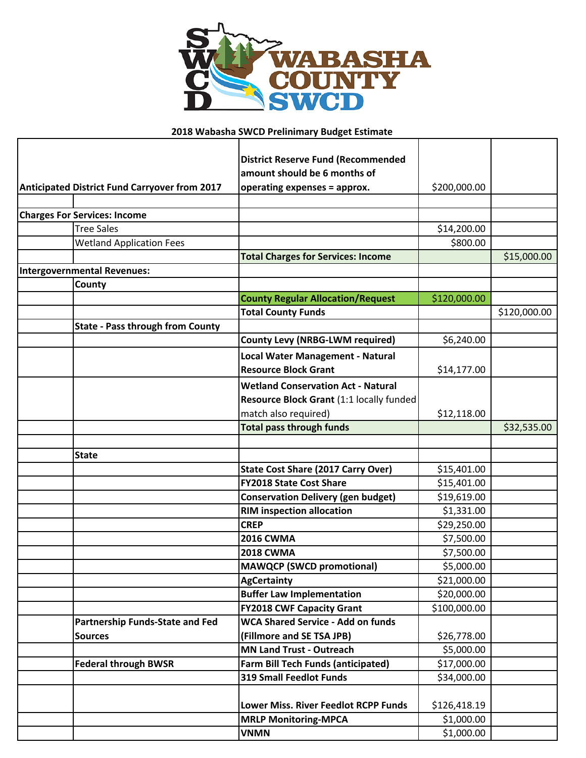

## **2018 Wabasha SWCD Prelinimary Budget Estimate**

|                                                      |  | <b>District Reserve Fund (Recommended</b> |              |              |
|------------------------------------------------------|--|-------------------------------------------|--------------|--------------|
|                                                      |  | amount should be 6 months of              |              |              |
| <b>Anticipated District Fund Carryover from 2017</b> |  | operating expenses = approx.              | \$200,000.00 |              |
|                                                      |  |                                           |              |              |
| <b>Charges For Services: Income</b>                  |  |                                           |              |              |
| <b>Tree Sales</b>                                    |  |                                           | \$14,200.00  |              |
| <b>Wetland Application Fees</b>                      |  |                                           | \$800.00     |              |
|                                                      |  | <b>Total Charges for Services: Income</b> |              | \$15,000.00  |
| <b>Intergovernmental Revenues:</b>                   |  |                                           |              |              |
| County                                               |  |                                           |              |              |
|                                                      |  | <b>County Regular Allocation/Request</b>  | \$120,000.00 |              |
|                                                      |  | <b>Total County Funds</b>                 |              | \$120,000.00 |
| <b>State - Pass through from County</b>              |  |                                           |              |              |
|                                                      |  | <b>County Levy (NRBG-LWM required)</b>    | \$6,240.00   |              |
|                                                      |  | Local Water Management - Natural          |              |              |
|                                                      |  | <b>Resource Block Grant</b>               | \$14,177.00  |              |
|                                                      |  | <b>Wetland Conservation Act - Natural</b> |              |              |
|                                                      |  | Resource Block Grant (1:1 locally funded  |              |              |
|                                                      |  | match also required)                      | \$12,118.00  |              |
|                                                      |  | <b>Total pass through funds</b>           |              | \$32,535.00  |
|                                                      |  |                                           |              |              |
| <b>State</b>                                         |  |                                           |              |              |
|                                                      |  | <b>State Cost Share (2017 Carry Over)</b> | \$15,401.00  |              |
|                                                      |  | <b>FY2018 State Cost Share</b>            | \$15,401.00  |              |
|                                                      |  | <b>Conservation Delivery (gen budget)</b> | \$19,619.00  |              |
|                                                      |  | <b>RIM inspection allocation</b>          | \$1,331.00   |              |
|                                                      |  | <b>CREP</b>                               | \$29,250.00  |              |
|                                                      |  | <b>2016 CWMA</b>                          | \$7,500.00   |              |
|                                                      |  | <b>2018 CWMA</b>                          | \$7,500.00   |              |
|                                                      |  | <b>MAWQCP (SWCD promotional)</b>          | \$5,000.00   |              |
|                                                      |  | <b>AgCertainty</b>                        | \$21,000.00  |              |
|                                                      |  | <b>Buffer Law Implementation</b>          | \$20,000.00  |              |
|                                                      |  | <b>FY2018 CWF Capacity Grant</b>          | \$100,000.00 |              |
| <b>Partnership Funds-State and Fed</b>               |  | <b>WCA Shared Service - Add on funds</b>  |              |              |
| <b>Sources</b>                                       |  | (Fillmore and SE TSA JPB)                 | \$26,778.00  |              |
|                                                      |  | <b>MN Land Trust - Outreach</b>           | \$5,000.00   |              |
| <b>Federal through BWSR</b>                          |  | <b>Farm Bill Tech Funds (anticipated)</b> | \$17,000.00  |              |
|                                                      |  | <b>319 Small Feedlot Funds</b>            | \$34,000.00  |              |
|                                                      |  |                                           |              |              |
|                                                      |  | Lower Miss. River Feedlot RCPP Funds      | \$126,418.19 |              |
|                                                      |  | <b>MRLP Monitoring-MPCA</b>               | \$1,000.00   |              |
|                                                      |  | <b>VNMN</b>                               | \$1,000.00   |              |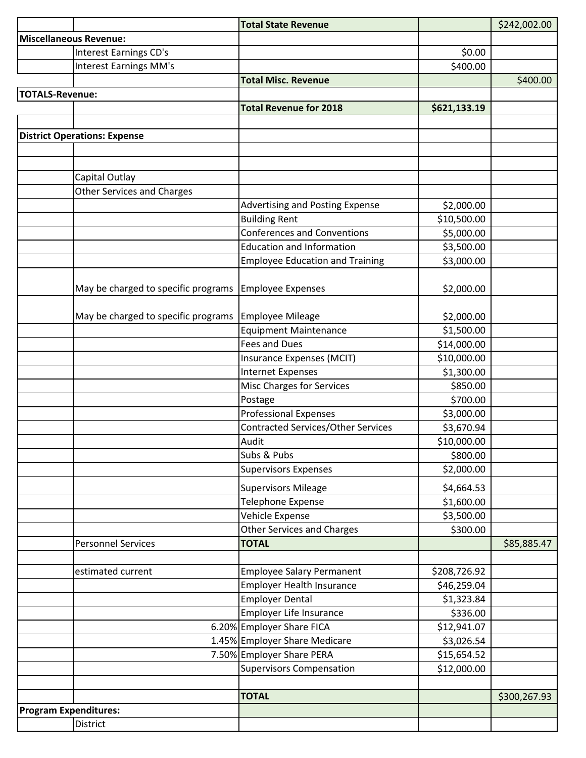|                               |                                     | <b>Total State Revenue</b>                |              | \$242,002.00 |
|-------------------------------|-------------------------------------|-------------------------------------------|--------------|--------------|
| <b>Miscellaneous Revenue:</b> |                                     |                                           |              |              |
|                               | <b>Interest Earnings CD's</b>       |                                           | \$0.00       |              |
|                               | <b>Interest Earnings MM's</b>       |                                           | \$400.00     |              |
|                               |                                     | <b>Total Misc. Revenue</b>                |              | \$400.00     |
| <b>TOTALS-Revenue:</b>        |                                     |                                           |              |              |
|                               |                                     | <b>Total Revenue for 2018</b>             | \$621,133.19 |              |
|                               |                                     |                                           |              |              |
|                               | <b>District Operations: Expense</b> |                                           |              |              |
|                               |                                     |                                           |              |              |
|                               |                                     |                                           |              |              |
|                               | Capital Outlay                      |                                           |              |              |
|                               | <b>Other Services and Charges</b>   |                                           |              |              |
|                               |                                     | Advertising and Posting Expense           | \$2,000.00   |              |
|                               |                                     | <b>Building Rent</b>                      | \$10,500.00  |              |
|                               |                                     | <b>Conferences and Conventions</b>        | \$5,000.00   |              |
|                               |                                     | <b>Education and Information</b>          | \$3,500.00   |              |
|                               |                                     | <b>Employee Education and Training</b>    | \$3,000.00   |              |
|                               |                                     |                                           |              |              |
|                               | May be charged to specific programs | <b>Employee Expenses</b>                  | \$2,000.00   |              |
|                               |                                     |                                           |              |              |
|                               | May be charged to specific programs | <b>Employee Mileage</b>                   | \$2,000.00   |              |
|                               |                                     | <b>Equipment Maintenance</b>              | \$1,500.00   |              |
|                               |                                     | <b>Fees and Dues</b>                      | \$14,000.00  |              |
|                               |                                     | Insurance Expenses (MCIT)                 | \$10,000.00  |              |
|                               |                                     | <b>Internet Expenses</b>                  | \$1,300.00   |              |
|                               |                                     | <b>Misc Charges for Services</b>          | \$850.00     |              |
|                               |                                     | Postage                                   | \$700.00     |              |
|                               |                                     | <b>Professional Expenses</b>              | \$3,000.00   |              |
|                               |                                     | <b>Contracted Services/Other Services</b> | \$3,670.94   |              |
|                               |                                     | Audit                                     | \$10,000.00  |              |
|                               |                                     | Subs & Pubs                               | \$800.00     |              |
|                               |                                     | <b>Supervisors Expenses</b>               | \$2,000.00   |              |
|                               |                                     | <b>Supervisors Mileage</b>                | \$4,664.53   |              |
|                               |                                     | <b>Telephone Expense</b>                  | \$1,600.00   |              |
|                               |                                     | Vehicle Expense                           | \$3,500.00   |              |
|                               |                                     | <b>Other Services and Charges</b>         | \$300.00     |              |
|                               | <b>Personnel Services</b>           | <b>TOTAL</b>                              |              | \$85,885.47  |
|                               |                                     |                                           |              |              |
|                               | estimated current                   | <b>Employee Salary Permanent</b>          | \$208,726.92 |              |
|                               |                                     | <b>Employer Health Insurance</b>          | \$46,259.04  |              |
|                               |                                     | <b>Employer Dental</b>                    | \$1,323.84   |              |
|                               |                                     | Employer Life Insurance                   | \$336.00     |              |
|                               |                                     | 6.20% Employer Share FICA                 | \$12,941.07  |              |
|                               |                                     | 1.45% Employer Share Medicare             | \$3,026.54   |              |
|                               |                                     | 7.50% Employer Share PERA                 | \$15,654.52  |              |
|                               |                                     | <b>Supervisors Compensation</b>           | \$12,000.00  |              |
|                               |                                     |                                           |              |              |
|                               |                                     | <b>TOTAL</b>                              |              | \$300,267.93 |
| <b>Program Expenditures:</b>  |                                     |                                           |              |              |
|                               | District                            |                                           |              |              |
|                               |                                     |                                           |              |              |